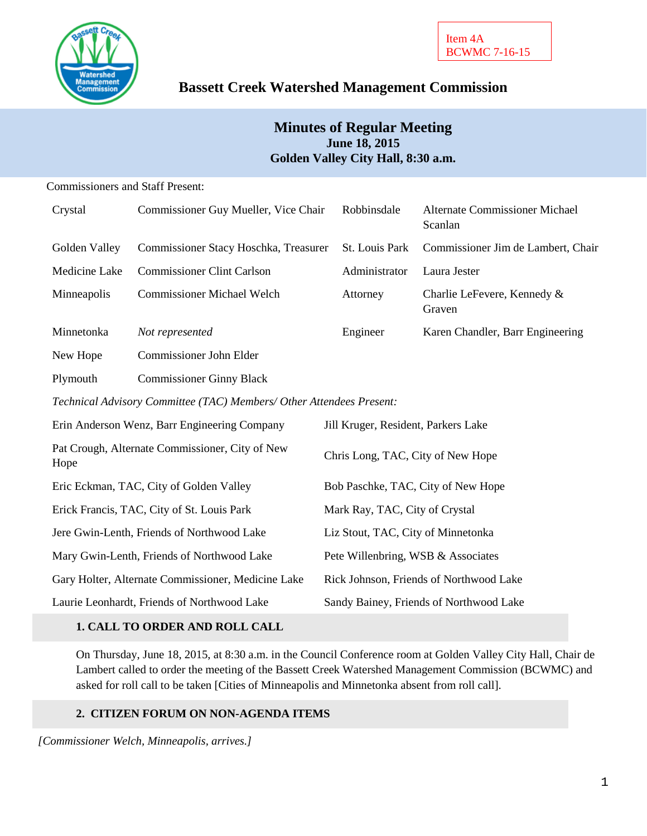

# **Bassett Creek Watershed Management Commission**

## **Minutes of Regular Meeting June 18, 2015 Golden Valley City Hall, 8:30 a.m.**

## Commissioners and Staff Present:

| Crystal                                                 | Commissioner Guy Mueller, Vice Chair                                 | Robbinsdale                             | <b>Alternate Commissioner Michael</b><br>Scanlan |
|---------------------------------------------------------|----------------------------------------------------------------------|-----------------------------------------|--------------------------------------------------|
| Golden Valley                                           | Commissioner Stacy Hoschka, Treasurer                                | St. Louis Park                          | Commissioner Jim de Lambert, Chair               |
| Medicine Lake                                           | <b>Commissioner Clint Carlson</b>                                    | Administrator                           | Laura Jester                                     |
| Minneapolis                                             | <b>Commissioner Michael Welch</b>                                    | Attorney                                | Charlie LeFevere, Kennedy &<br>Graven            |
| Minnetonka                                              | Not represented                                                      | Engineer                                | Karen Chandler, Barr Engineering                 |
| New Hope                                                | Commissioner John Elder                                              |                                         |                                                  |
| Plymouth                                                | <b>Commissioner Ginny Black</b>                                      |                                         |                                                  |
|                                                         | Technical Advisory Committee (TAC) Members/ Other Attendees Present: |                                         |                                                  |
| Erin Anderson Wenz, Barr Engineering Company            |                                                                      | Jill Kruger, Resident, Parkers Lake     |                                                  |
| Pat Crough, Alternate Commissioner, City of New<br>Hope |                                                                      | Chris Long, TAC, City of New Hope       |                                                  |
| Eric Eckman, TAC, City of Golden Valley                 |                                                                      | Bob Paschke, TAC, City of New Hope      |                                                  |
| Erick Francis, TAC, City of St. Louis Park              |                                                                      | Mark Ray, TAC, City of Crystal          |                                                  |
| Jere Gwin-Lenth, Friends of Northwood Lake              |                                                                      | Liz Stout, TAC, City of Minnetonka      |                                                  |
| Mary Gwin-Lenth, Friends of Northwood Lake              |                                                                      | Pete Willenbring, WSB & Associates      |                                                  |
| Gary Holter, Alternate Commissioner, Medicine Lake      |                                                                      | Rick Johnson, Friends of Northwood Lake |                                                  |
| Laurie Leonhardt, Friends of Northwood Lake             |                                                                      | Sandy Bainey, Friends of Northwood Lake |                                                  |

## **1. CALL TO ORDER AND ROLL CALL**

On Thursday, June 18, 2015, at 8:30 a.m. in the Council Conference room at Golden Valley City Hall, Chair de Lambert called to order the meeting of the Bassett Creek Watershed Management Commission (BCWMC) and asked for roll call to be taken [Cities of Minneapolis and Minnetonka absent from roll call].

## **2. CITIZEN FORUM ON NON-AGENDA ITEMS**

*[Commissioner Welch, Minneapolis, arrives.]*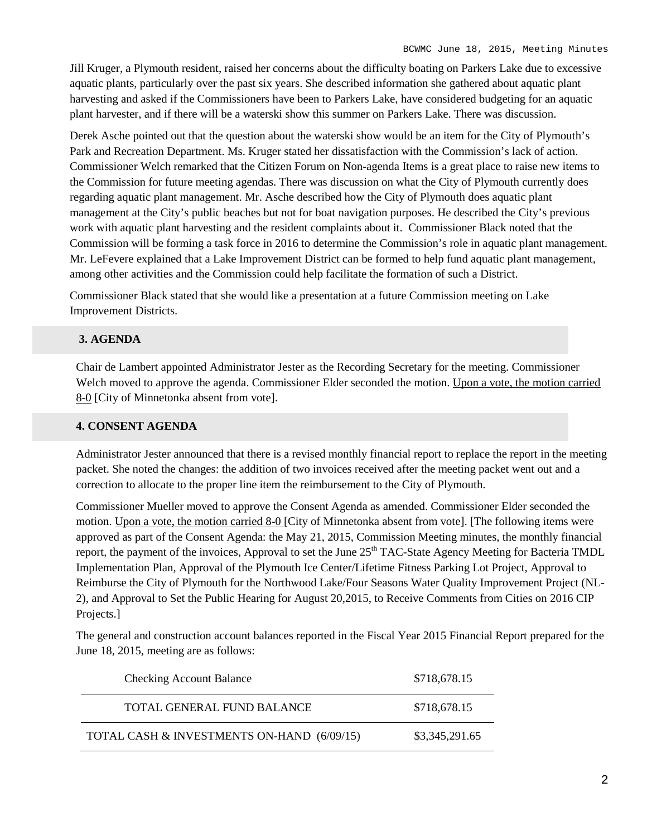Jill Kruger, a Plymouth resident, raised her concerns about the difficulty boating on Parkers Lake due to excessive aquatic plants, particularly over the past six years. She described information she gathered about aquatic plant harvesting and asked if the Commissioners have been to Parkers Lake, have considered budgeting for an aquatic plant harvester, and if there will be a waterski show this summer on Parkers Lake. There was discussion.

Derek Asche pointed out that the question about the waterski show would be an item for the City of Plymouth's Park and Recreation Department. Ms. Kruger stated her dissatisfaction with the Commission's lack of action. Commissioner Welch remarked that the Citizen Forum on Non-agenda Items is a great place to raise new items to the Commission for future meeting agendas. There was discussion on what the City of Plymouth currently does regarding aquatic plant management. Mr. Asche described how the City of Plymouth does aquatic plant management at the City's public beaches but not for boat navigation purposes. He described the City's previous work with aquatic plant harvesting and the resident complaints about it. Commissioner Black noted that the Commission will be forming a task force in 2016 to determine the Commission's role in aquatic plant management. Mr. LeFevere explained that a Lake Improvement District can be formed to help fund aquatic plant management, among other activities and the Commission could help facilitate the formation of such a District.

Commissioner Black stated that she would like a presentation at a future Commission meeting on Lake Improvement Districts.

## **3. AGENDA**

Chair de Lambert appointed Administrator Jester as the Recording Secretary for the meeting. Commissioner Welch moved to approve the agenda. Commissioner Elder seconded the motion. Upon a vote, the motion carried 8-0 [City of Minnetonka absent from vote].

### **4. CONSENT AGENDA**

Administrator Jester announced that there is a revised monthly financial report to replace the report in the meeting packet. She noted the changes: the addition of two invoices received after the meeting packet went out and a correction to allocate to the proper line item the reimbursement to the City of Plymouth.

Commissioner Mueller moved to approve the Consent Agenda as amended. Commissioner Elder seconded the motion. Upon a vote, the motion carried 8-0 [City of Minnetonka absent from vote]. [The following items were approved as part of the Consent Agenda: the May 21, 2015, Commission Meeting minutes, the monthly financial report, the payment of the invoices, Approval to set the June 25<sup>th</sup> TAC-State Agency Meeting for Bacteria TMDL Implementation Plan, Approval of the Plymouth Ice Center/Lifetime Fitness Parking Lot Project, Approval to Reimburse the City of Plymouth for the Northwood Lake/Four Seasons Water Quality Improvement Project (NL-2), and Approval to Set the Public Hearing for August 20,2015, to Receive Comments from Cities on 2016 CIP Projects.]

The general and construction account balances reported in the Fiscal Year 2015 Financial Report prepared for the June 18, 2015, meeting are as follows:

| <b>Checking Account Balance</b>            | \$718,678.15   |
|--------------------------------------------|----------------|
| TOTAL GENERAL FUND BALANCE                 | \$718,678.15   |
| TOTAL CASH & INVESTMENTS ON-HAND (6/09/15) | \$3,345,291.65 |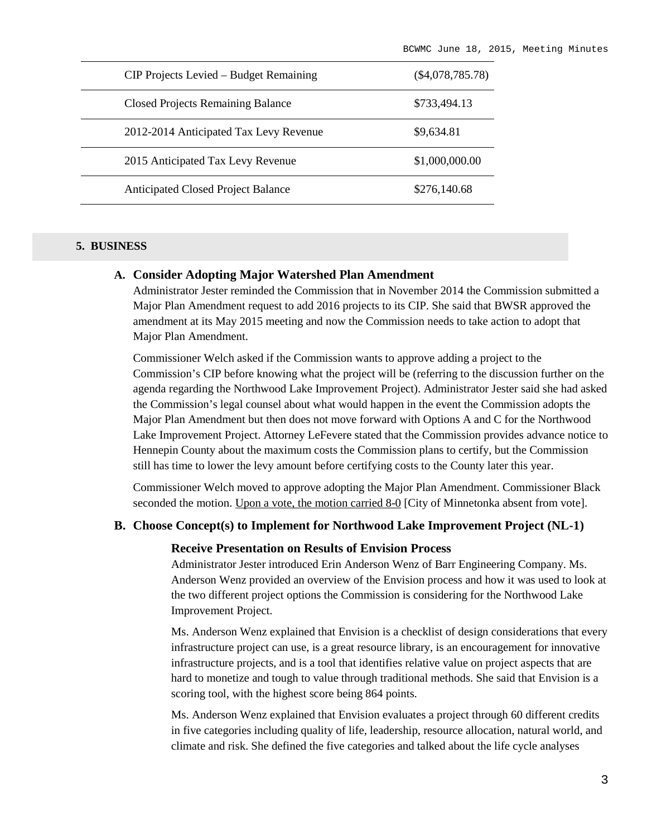| CIP Projects Levied – Budget Remaining    | $(\$4,078,785.78)$ |
|-------------------------------------------|--------------------|
| <b>Closed Projects Remaining Balance</b>  | \$733,494.13       |
| 2012-2014 Anticipated Tax Levy Revenue    | \$9,634.81         |
| 2015 Anticipated Tax Levy Revenue         | \$1,000,000.00     |
| <b>Anticipated Closed Project Balance</b> | \$276,140.68       |

### **5. BUSINESS**

### **A. Consider Adopting Major Watershed Plan Amendment**

Administrator Jester reminded the Commission that in November 2014 the Commission submitted a Major Plan Amendment request to add 2016 projects to its CIP. She said that BWSR approved the amendment at its May 2015 meeting and now the Commission needs to take action to adopt that Major Plan Amendment.

Commissioner Welch asked if the Commission wants to approve adding a project to the Commission's CIP before knowing what the project will be (referring to the discussion further on the agenda regarding the Northwood Lake Improvement Project). Administrator Jester said she had asked the Commission's legal counsel about what would happen in the event the Commission adopts the Major Plan Amendment but then does not move forward with Options A and C for the Northwood Lake Improvement Project. Attorney LeFevere stated that the Commission provides advance notice to Hennepin County about the maximum costs the Commission plans to certify, but the Commission still has time to lower the levy amount before certifying costs to the County later this year.

Commissioner Welch moved to approve adopting the Major Plan Amendment. Commissioner Black seconded the motion. Upon a vote, the motion carried 8-0 [City of Minnetonka absent from vote].

### **B. Choose Concept(s) to Implement for Northwood Lake Improvement Project (NL-1)**

#### **Receive Presentation on Results of Envision Process**

Administrator Jester introduced Erin Anderson Wenz of Barr Engineering Company. Ms. Anderson Wenz provided an overview of the Envision process and how it was used to look at the two different project options the Commission is considering for the Northwood Lake Improvement Project.

Ms. Anderson Wenz explained that Envision is a checklist of design considerations that every infrastructure project can use, is a great resource library, is an encouragement for innovative infrastructure projects, and is a tool that identifies relative value on project aspects that are hard to monetize and tough to value through traditional methods. She said that Envision is a scoring tool, with the highest score being 864 points.

Ms. Anderson Wenz explained that Envision evaluates a project through 60 different credits in five categories including quality of life, leadership, resource allocation, natural world, and climate and risk. She defined the five categories and talked about the life cycle analyses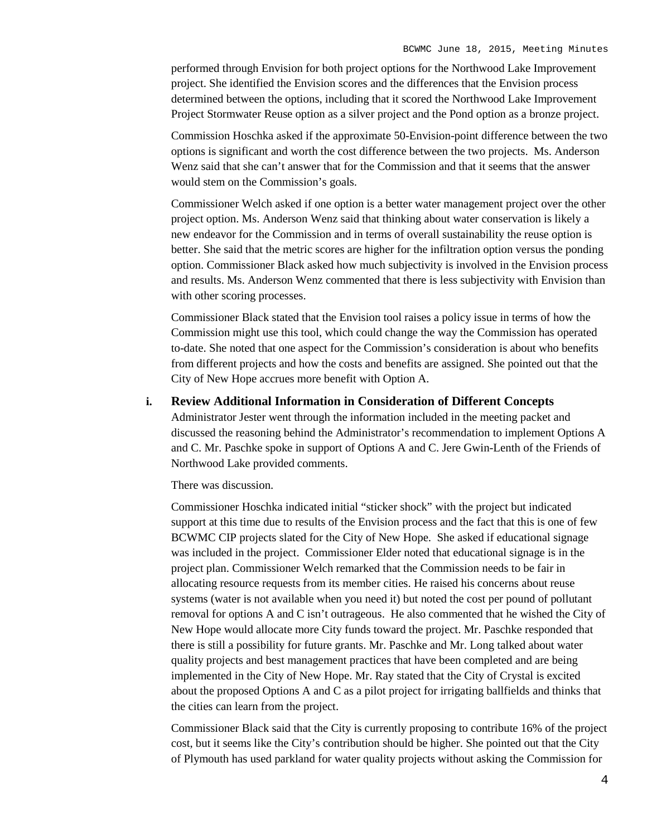performed through Envision for both project options for the Northwood Lake Improvement project. She identified the Envision scores and the differences that the Envision process determined between the options, including that it scored the Northwood Lake Improvement Project Stormwater Reuse option as a silver project and the Pond option as a bronze project.

Commission Hoschka asked if the approximate 50-Envision-point difference between the two options is significant and worth the cost difference between the two projects. Ms. Anderson Wenz said that she can't answer that for the Commission and that it seems that the answer would stem on the Commission's goals.

Commissioner Welch asked if one option is a better water management project over the other project option. Ms. Anderson Wenz said that thinking about water conservation is likely a new endeavor for the Commission and in terms of overall sustainability the reuse option is better. She said that the metric scores are higher for the infiltration option versus the ponding option. Commissioner Black asked how much subjectivity is involved in the Envision process and results. Ms. Anderson Wenz commented that there is less subjectivity with Envision than with other scoring processes.

Commissioner Black stated that the Envision tool raises a policy issue in terms of how the Commission might use this tool, which could change the way the Commission has operated to-date. She noted that one aspect for the Commission's consideration is about who benefits from different projects and how the costs and benefits are assigned. She pointed out that the City of New Hope accrues more benefit with Option A.

### **i. Review Additional Information in Consideration of Different Concepts**

Administrator Jester went through the information included in the meeting packet and discussed the reasoning behind the Administrator's recommendation to implement Options A and C. Mr. Paschke spoke in support of Options A and C. Jere Gwin-Lenth of the Friends of Northwood Lake provided comments.

There was discussion.

Commissioner Hoschka indicated initial "sticker shock" with the project but indicated support at this time due to results of the Envision process and the fact that this is one of few BCWMC CIP projects slated for the City of New Hope. She asked if educational signage was included in the project. Commissioner Elder noted that educational signage is in the project plan. Commissioner Welch remarked that the Commission needs to be fair in allocating resource requests from its member cities. He raised his concerns about reuse systems (water is not available when you need it) but noted the cost per pound of pollutant removal for options A and C isn't outrageous. He also commented that he wished the City of New Hope would allocate more City funds toward the project. Mr. Paschke responded that there is still a possibility for future grants. Mr. Paschke and Mr. Long talked about water quality projects and best management practices that have been completed and are being implemented in the City of New Hope. Mr. Ray stated that the City of Crystal is excited about the proposed Options A and C as a pilot project for irrigating ballfields and thinks that the cities can learn from the project.

Commissioner Black said that the City is currently proposing to contribute 16% of the project cost, but it seems like the City's contribution should be higher. She pointed out that the City of Plymouth has used parkland for water quality projects without asking the Commission for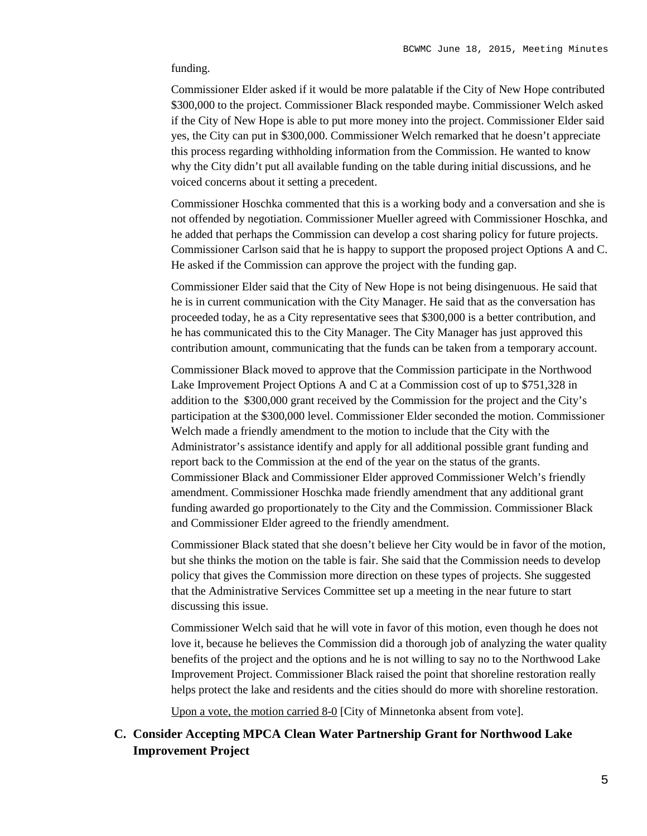### funding.

Commissioner Elder asked if it would be more palatable if the City of New Hope contributed \$300,000 to the project. Commissioner Black responded maybe. Commissioner Welch asked if the City of New Hope is able to put more money into the project. Commissioner Elder said yes, the City can put in \$300,000. Commissioner Welch remarked that he doesn't appreciate this process regarding withholding information from the Commission. He wanted to know why the City didn't put all available funding on the table during initial discussions, and he voiced concerns about it setting a precedent.

Commissioner Hoschka commented that this is a working body and a conversation and she is not offended by negotiation. Commissioner Mueller agreed with Commissioner Hoschka, and he added that perhaps the Commission can develop a cost sharing policy for future projects. Commissioner Carlson said that he is happy to support the proposed project Options A and C. He asked if the Commission can approve the project with the funding gap.

Commissioner Elder said that the City of New Hope is not being disingenuous. He said that he is in current communication with the City Manager. He said that as the conversation has proceeded today, he as a City representative sees that \$300,000 is a better contribution, and he has communicated this to the City Manager. The City Manager has just approved this contribution amount, communicating that the funds can be taken from a temporary account.

Commissioner Black moved to approve that the Commission participate in the Northwood Lake Improvement Project Options A and C at a Commission cost of up to \$751,328 in addition to the \$300,000 grant received by the Commission for the project and the City's participation at the \$300,000 level. Commissioner Elder seconded the motion. Commissioner Welch made a friendly amendment to the motion to include that the City with the Administrator's assistance identify and apply for all additional possible grant funding and report back to the Commission at the end of the year on the status of the grants. Commissioner Black and Commissioner Elder approved Commissioner Welch's friendly amendment. Commissioner Hoschka made friendly amendment that any additional grant funding awarded go proportionately to the City and the Commission. Commissioner Black and Commissioner Elder agreed to the friendly amendment.

Commissioner Black stated that she doesn't believe her City would be in favor of the motion, but she thinks the motion on the table is fair. She said that the Commission needs to develop policy that gives the Commission more direction on these types of projects. She suggested that the Administrative Services Committee set up a meeting in the near future to start discussing this issue.

Commissioner Welch said that he will vote in favor of this motion, even though he does not love it, because he believes the Commission did a thorough job of analyzing the water quality benefits of the project and the options and he is not willing to say no to the Northwood Lake Improvement Project. Commissioner Black raised the point that shoreline restoration really helps protect the lake and residents and the cities should do more with shoreline restoration.

Upon a vote, the motion carried 8-0 [City of Minnetonka absent from vote].

## **C. Consider Accepting MPCA Clean Water Partnership Grant for Northwood Lake Improvement Project**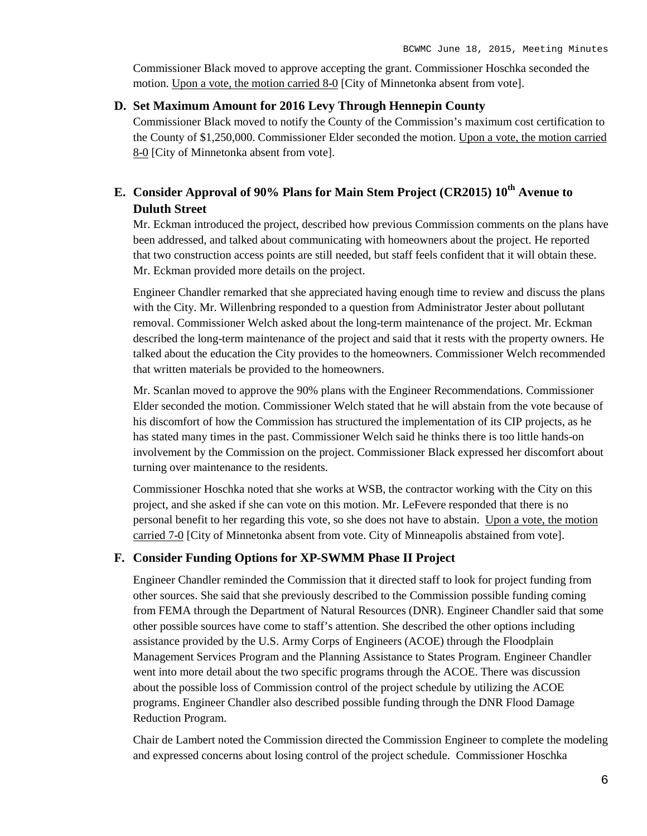Commissioner Black moved to approve accepting the grant. Commissioner Hoschka seconded the motion. Upon a vote, the motion carried 8-0 [City of Minnetonka absent from vote].

## **D. Set Maximum Amount for 2016 Levy Through Hennepin County**

Commissioner Black moved to notify the County of the Commission's maximum cost certification to the County of \$1,250,000. Commissioner Elder seconded the motion. Upon a vote, the motion carried 8-0 [City of Minnetonka absent from vote].

# **E. Consider Approval of 90% Plans for Main Stem Project (CR2015) 10th Avenue to Duluth Street**

Mr. Eckman introduced the project, described how previous Commission comments on the plans have been addressed, and talked about communicating with homeowners about the project. He reported that two construction access points are still needed, but staff feels confident that it will obtain these. Mr. Eckman provided more details on the project.

Engineer Chandler remarked that she appreciated having enough time to review and discuss the plans with the City. Mr. Willenbring responded to a question from Administrator Jester about pollutant removal. Commissioner Welch asked about the long-term maintenance of the project. Mr. Eckman described the long-term maintenance of the project and said that it rests with the property owners. He talked about the education the City provides to the homeowners. Commissioner Welch recommended that written materials be provided to the homeowners.

Mr. Scanlan moved to approve the 90% plans with the Engineer Recommendations. Commissioner Elder seconded the motion. Commissioner Welch stated that he will abstain from the vote because of his discomfort of how the Commission has structured the implementation of its CIP projects, as he has stated many times in the past. Commissioner Welch said he thinks there is too little hands-on involvement by the Commission on the project. Commissioner Black expressed her discomfort about turning over maintenance to the residents.

Commissioner Hoschka noted that she works at WSB, the contractor working with the City on this project, and she asked if she can vote on this motion. Mr. LeFevere responded that there is no personal benefit to her regarding this vote, so she does not have to abstain. Upon a vote, the motion carried 7-0 [City of Minnetonka absent from vote. City of Minneapolis abstained from vote].

## **F. Consider Funding Options for XP-SWMM Phase II Project**

Engineer Chandler reminded the Commission that it directed staff to look for project funding from other sources. She said that she previously described to the Commission possible funding coming from FEMA through the Department of Natural Resources (DNR). Engineer Chandler said that some other possible sources have come to staff's attention. She described the other options including assistance provided by the U.S. Army Corps of Engineers (ACOE) through the Floodplain Management Services Program and the Planning Assistance to States Program. Engineer Chandler went into more detail about the two specific programs through the ACOE. There was discussion about the possible loss of Commission control of the project schedule by utilizing the ACOE programs. Engineer Chandler also described possible funding through the DNR Flood Damage Reduction Program.

Chair de Lambert noted the Commission directed the Commission Engineer to complete the modeling and expressed concerns about losing control of the project schedule. Commissioner Hoschka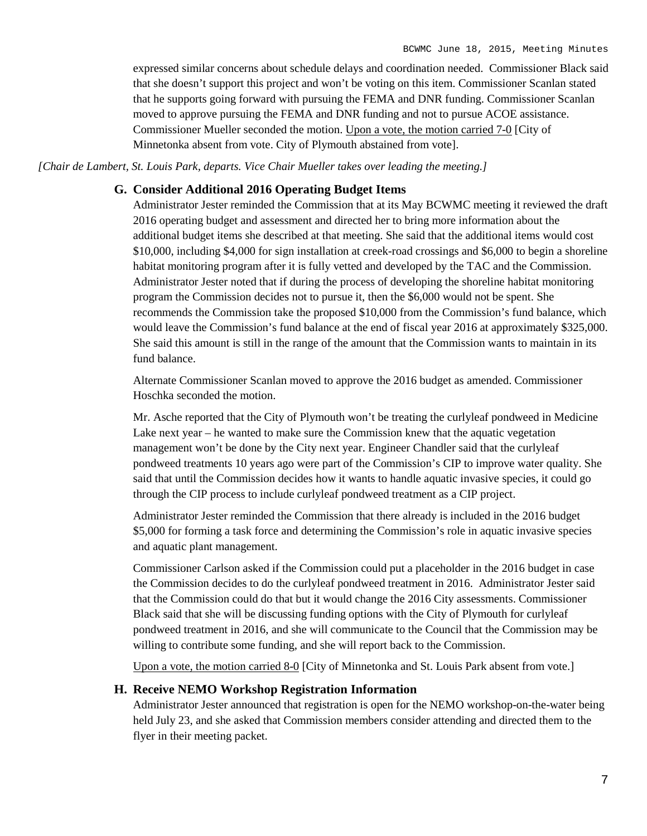expressed similar concerns about schedule delays and coordination needed. Commissioner Black said that she doesn't support this project and won't be voting on this item. Commissioner Scanlan stated that he supports going forward with pursuing the FEMA and DNR funding. Commissioner Scanlan moved to approve pursuing the FEMA and DNR funding and not to pursue ACOE assistance. Commissioner Mueller seconded the motion. Upon a vote, the motion carried 7-0 [City of Minnetonka absent from vote. City of Plymouth abstained from vote].

*[Chair de Lambert, St. Louis Park, departs. Vice Chair Mueller takes over leading the meeting.]*

### **G. Consider Additional 2016 Operating Budget Items**

Administrator Jester reminded the Commission that at its May BCWMC meeting it reviewed the draft 2016 operating budget and assessment and directed her to bring more information about the additional budget items she described at that meeting. She said that the additional items would cost \$10,000, including \$4,000 for sign installation at creek-road crossings and \$6,000 to begin a shoreline habitat monitoring program after it is fully vetted and developed by the TAC and the Commission. Administrator Jester noted that if during the process of developing the shoreline habitat monitoring program the Commission decides not to pursue it, then the \$6,000 would not be spent. She recommends the Commission take the proposed \$10,000 from the Commission's fund balance, which would leave the Commission's fund balance at the end of fiscal year 2016 at approximately \$325,000. She said this amount is still in the range of the amount that the Commission wants to maintain in its fund balance.

Alternate Commissioner Scanlan moved to approve the 2016 budget as amended. Commissioner Hoschka seconded the motion.

Mr. Asche reported that the City of Plymouth won't be treating the curlyleaf pondweed in Medicine Lake next year – he wanted to make sure the Commission knew that the aquatic vegetation management won't be done by the City next year. Engineer Chandler said that the curlyleaf pondweed treatments 10 years ago were part of the Commission's CIP to improve water quality. She said that until the Commission decides how it wants to handle aquatic invasive species, it could go through the CIP process to include curlyleaf pondweed treatment as a CIP project.

Administrator Jester reminded the Commission that there already is included in the 2016 budget \$5,000 for forming a task force and determining the Commission's role in aquatic invasive species and aquatic plant management.

Commissioner Carlson asked if the Commission could put a placeholder in the 2016 budget in case the Commission decides to do the curlyleaf pondweed treatment in 2016. Administrator Jester said that the Commission could do that but it would change the 2016 City assessments. Commissioner Black said that she will be discussing funding options with the City of Plymouth for curlyleaf pondweed treatment in 2016, and she will communicate to the Council that the Commission may be willing to contribute some funding, and she will report back to the Commission.

Upon a vote, the motion carried 8-0 [City of Minnetonka and St. Louis Park absent from vote.]

### **H. Receive NEMO Workshop Registration Information**

Administrator Jester announced that registration is open for the NEMO workshop-on-the-water being held July 23, and she asked that Commission members consider attending and directed them to the flyer in their meeting packet.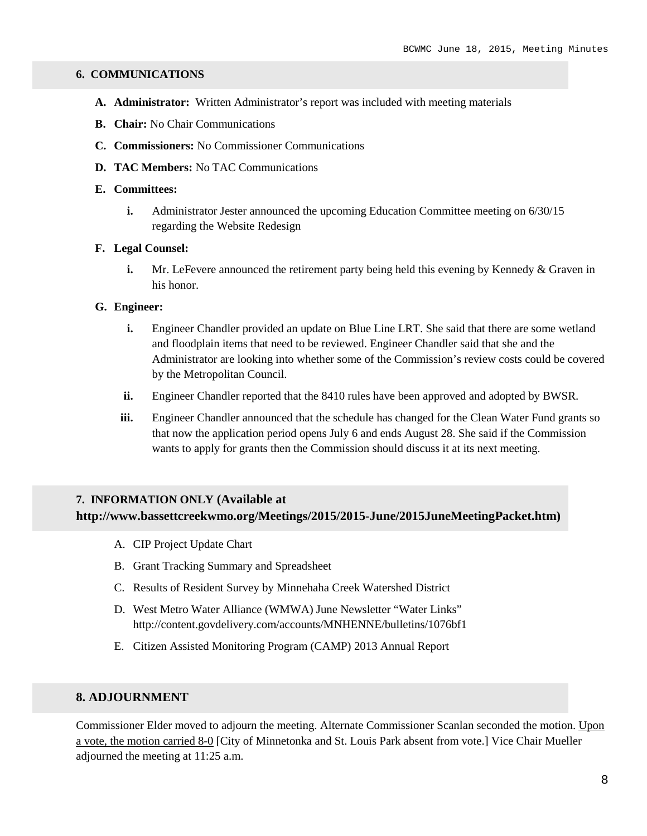### **6. COMMUNICATIONS**

- **A. Administrator:** Written Administrator's report was included with meeting materials
- **B. Chair:** No Chair Communications
- **C. Commissioners:** No Commissioner Communications
- **D. TAC Members:** No TAC Communications

### **E. Committees:**

**i.** Administrator Jester announced the upcoming Education Committee meeting on 6/30/15 regarding the Website Redesign

#### **F. Legal Counsel:**

**i.** Mr. LeFevere announced the retirement party being held this evening by Kennedy & Graven in his honor.

### **G. Engineer:**

- **i.** Engineer Chandler provided an update on Blue Line LRT. She said that there are some wetland and floodplain items that need to be reviewed. Engineer Chandler said that she and the Administrator are looking into whether some of the Commission's review costs could be covered by the Metropolitan Council.
- **ii.** Engineer Chandler reported that the 8410 rules have been approved and adopted by BWSR.
- iii. Engineer Chandler announced that the schedule has changed for the Clean Water Fund grants so that now the application period opens July 6 and ends August 28. She said if the Commission wants to apply for grants then the Commission should discuss it at its next meeting.

## **7. INFORMATION ONLY (Available at http://www.bassettcreekwmo.org/Meetings/2015/2015-June/2015JuneMeetingPacket.htm)**

- A. CIP Project Update Chart
- B. Grant Tracking Summary and Spreadsheet
- C. Results of Resident Survey by Minnehaha Creek Watershed District
- D. West Metro Water Alliance (WMWA) June Newsletter "Water Links" http://content.govdelivery.com/accounts/MNHENNE/bulletins/1076bf1
- E. Citizen Assisted Monitoring Program (CAMP) 2013 Annual Report

## **8. ADJOURNMENT**

Commissioner Elder moved to adjourn the meeting. Alternate Commissioner Scanlan seconded the motion. Upon a vote, the motion carried 8-0 [City of Minnetonka and St. Louis Park absent from vote.] Vice Chair Mueller adjourned the meeting at 11:25 a.m.